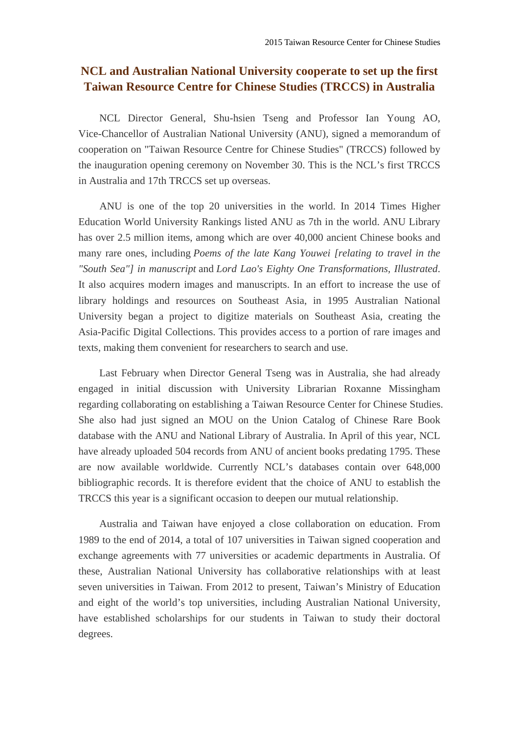## **NCL and Australian National University cooperate to set up the first Taiwan Resource Centre for Chinese Studies (TRCCS) in Australia**

NCL Director General, Shu-hsien Tseng and Professor Ian Young AO, Vice-Chancellor of Australian National University (ANU), signed a memorandum of cooperation on "Taiwan Resource Centre for Chinese Studies" (TRCCS) followed by the inauguration opening ceremony on November 30. This is the NCL's first TRCCS in Australia and 17th TRCCS set up overseas.

ANU is one of the top 20 universities in the world. In 2014 Times Higher Education World University Rankings listed ANU as 7th in the world. ANU Library has over 2.5 million items, among which are over 40,000 ancient Chinese books and many rare ones, including *Poems of the late Kang Youwei [relating to travel in the "South Sea"] in manuscript* and *Lord Lao's Eighty One Transformations, Illustrated*. It also acquires modern images and manuscripts. In an effort to increase the use of library holdings and resources on Southeast Asia, in 1995 Australian National University began a project to digitize materials on Southeast Asia, creating the Asia-Pacific Digital Collections. This provides access to a portion of rare images and texts, making them convenient for researchers to search and use.

Last February when Director General Tseng was in Australia, she had already engaged in initial discussion with University Librarian Roxanne Missingham regarding collaborating on establishing a Taiwan Resource Center for Chinese Studies. She also had just signed an MOU on the Union Catalog of Chinese Rare Book database with the ANU and National Library of Australia. In April of this year, NCL have already uploaded 504 records from ANU of ancient books predating 1795. These are now available worldwide. Currently NCL's databases contain over 648,000 bibliographic records. It is therefore evident that the choice of ANU to establish the TRCCS this year is a significant occasion to deepen our mutual relationship.

Australia and Taiwan have enjoyed a close collaboration on education. From 1989 to the end of 2014, a total of 107 universities in Taiwan signed cooperation and exchange agreements with 77 universities or academic departments in Australia. Of these, Australian National University has collaborative relationships with at least seven universities in Taiwan. From 2012 to present, Taiwan's Ministry of Education and eight of the world's top universities, including Australian National University, have established scholarships for our students in Taiwan to study their doctoral degrees.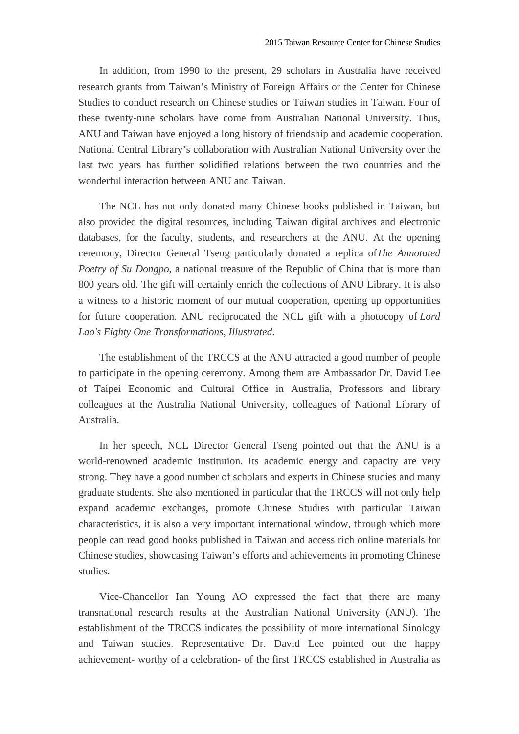In addition, from 1990 to the present, 29 scholars in Australia have received research grants from Taiwan's Ministry of Foreign Affairs or the Center for Chinese Studies to conduct research on Chinese studies or Taiwan studies in Taiwan. Four of these twenty-nine scholars have come from Australian National University. Thus, ANU and Taiwan have enjoyed a long history of friendship and academic cooperation. National Central Library's collaboration with Australian National University over the last two years has further solidified relations between the two countries and the wonderful interaction between ANU and Taiwan.

The NCL has not only donated many Chinese books published in Taiwan, but also provided the digital resources, including Taiwan digital archives and electronic databases, for the faculty, students, and researchers at the ANU. At the opening ceremony, Director General Tseng particularly donated a replica of*The Annotated Poetry of Su Dongpo*, a national treasure of the Republic of China that is more than 800 years old. The gift will certainly enrich the collections of ANU Library. It is also a witness to a historic moment of our mutual cooperation, opening up opportunities for future cooperation. ANU reciprocated the NCL gift with a photocopy of *Lord Lao's Eighty One Transformations, Illustrated*.

The establishment of the TRCCS at the ANU attracted a good number of people to participate in the opening ceremony. Among them are Ambassador Dr. David Lee of Taipei Economic and Cultural Office in Australia, Professors and library colleagues at the Australia National University, colleagues of National Library of Australia.

In her speech, NCL Director General Tseng pointed out that the ANU is a world-renowned academic institution. Its academic energy and capacity are very strong. They have a good number of scholars and experts in Chinese studies and many graduate students. She also mentioned in particular that the TRCCS will not only help expand academic exchanges, promote Chinese Studies with particular Taiwan characteristics, it is also a very important international window, through which more people can read good books published in Taiwan and access rich online materials for Chinese studies, showcasing Taiwan's efforts and achievements in promoting Chinese studies.

Vice-Chancellor Ian Young AO expressed the fact that there are many transnational research results at the Australian National University (ANU). The establishment of the TRCCS indicates the possibility of more international Sinology and Taiwan studies. Representative Dr. David Lee pointed out the happy achievement- worthy of a celebration- of the first TRCCS established in Australia as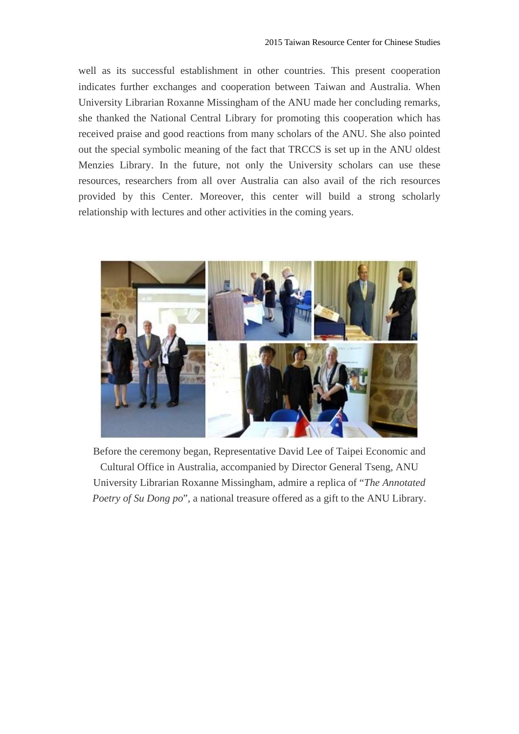well as its successful establishment in other countries. This present cooperation indicates further exchanges and cooperation between Taiwan and Australia. When University Librarian Roxanne Missingham of the ANU made her concluding remarks, she thanked the National Central Library for promoting this cooperation which has received praise and good reactions from many scholars of the ANU. She also pointed out the special symbolic meaning of the fact that TRCCS is set up in the ANU oldest Menzies Library. In the future, not only the University scholars can use these resources, researchers from all over Australia can also avail of the rich resources provided by this Center. Moreover, this center will build a strong scholarly relationship with lectures and other activities in the coming years.



Before the ceremony began, Representative David Lee of Taipei Economic and Cultural Office in Australia, accompanied by Director General Tseng, ANU University Librarian Roxanne Missingham, admire a replica of "*The Annotated Poetry of Su Dong po*", a national treasure offered as a gift to the ANU Library.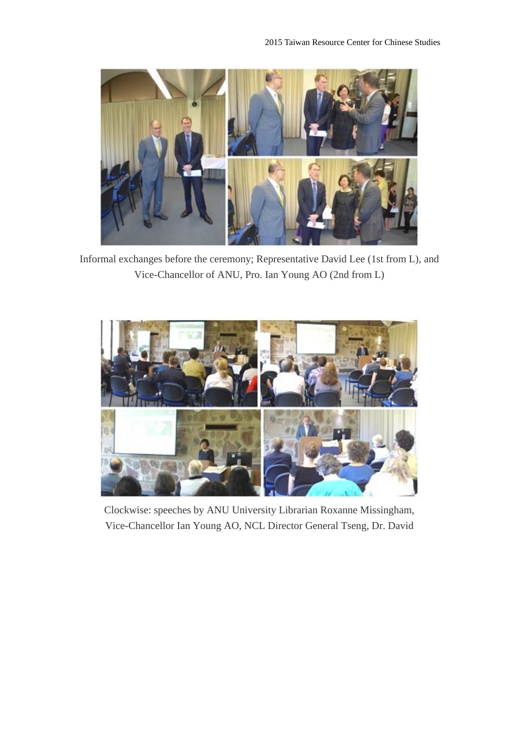

Informal exchanges before the ceremony; Representative David Lee (1st from L), and Vice-Chancellor of ANU, Pro. Ian Young AO (2nd from L)



Clockwise: speeches by ANU University Librarian Roxanne Missingham, Vice-Chancellor Ian Young AO, NCL Director General Tseng, Dr. David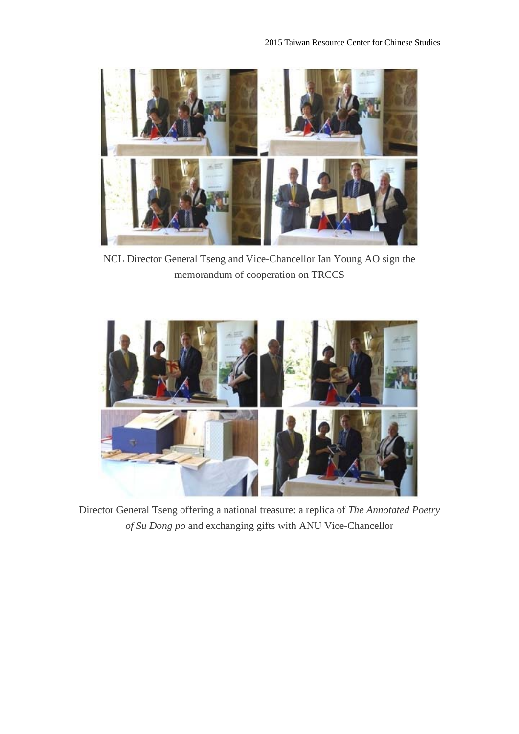

NCL Director General Tseng and Vice-Chancellor Ian Young AO sign the memorandum of cooperation on TRCCS



Director General Tseng offering a national treasure: a replica of *The Annotated Poetry of Su Dong po* and exchanging gifts with ANU Vice-Chancellor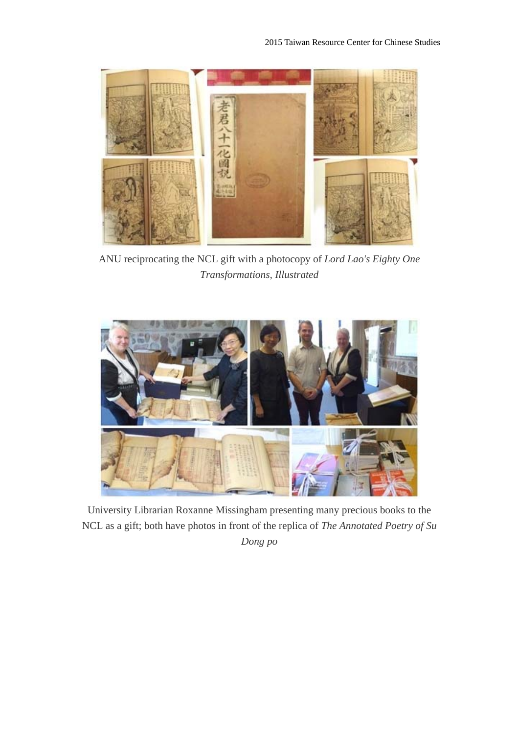

ANU reciprocating the NCL gift with a photocopy of *Lord Lao's Eighty One Transformations, Illustrated* 



University Librarian Roxanne Missingham presenting many precious books to the NCL as a gift; both have photos in front of the replica of *The Annotated Poetry of Su Dong po*